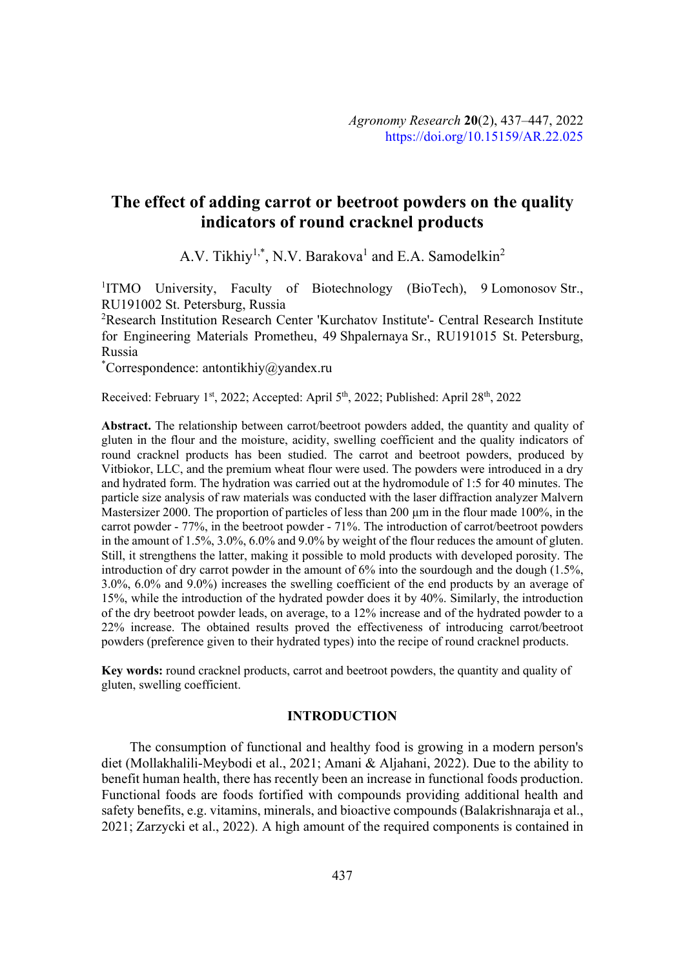# **The effect of adding carrot or beetroot powders on the quality indicators of round cracknel products**

A.V. Tikhiy<sup>1,\*</sup>, N.V. Barakova<sup>1</sup> and E.A. Samodelkin<sup>2</sup>

<sup>1</sup>ITMO University, Faculty of Biotechnology (BioTech), 9 Lomonosov Str., RU191002 St. Petersburg, Russia

<sup>2</sup>Research Institution Research Center 'Kurchatov Institute'- Central Research Institute for Engineering Materials Prometheu, 49 Shpalernaya Sr., RU191015 St. Petersburg, Russia

\* Correspondence: antontikhiy@yandex.ru

Received: February 1<sup>st</sup>, 2022; Accepted: April 5<sup>th</sup>, 2022; Published: April 28<sup>th</sup>, 2022

**Abstract.** The relationship between carrot/beetroot powders added, the quantity and quality of gluten in the flour and the moisture, acidity, swelling coefficient and the quality indicators of round cracknel products has been studied. The carrot and beetroot powders, produced by Vitbiokor, LLC, and the premium wheat flour were used. The powders were introduced in a dry and hydrated form. The hydration was carried out at the hydromodule of 1:5 for 40 minutes. The particle size analysis of raw materials was conducted with the laser diffraction analyzer Malvern Mastersizer 2000. The proportion of particles of less than 200  $\mu$ m in the flour made 100%, in the carrot powder - 77%, in the beetroot powder - 71%. The introduction of carrot/beetroot powders in the amount of 1.5%, 3.0%, 6.0% and 9.0% by weight of the flour reduces the amount of gluten. Still, it strengthens the latter, making it possible to mold products with developed porosity. The introduction of dry carrot powder in the amount of 6% into the sourdough and the dough (1.5%, 3.0%, 6.0% and 9.0%) increases the swelling coefficient of the end products by an average of 15%, while the introduction of the hydrated powder does it by 40%. Similarly, the introduction of the dry beetroot powder leads, on average, to a 12% increase and of the hydrated powder to a 22% increase. The obtained results proved the effectiveness of introducing carrot/beetroot powders (preference given to their hydrated types) into the recipe of round cracknel products.

**Key words:** round cracknel products, carrot and beetroot powders, the quantity and quality of gluten, swelling coefficient.

# **INTRODUCTION**

The consumption of functional and healthy food is growing in a modern person's diet (Mollakhalili-Meybodi et al., 2021; Amani & Aljahani, 2022). Due to the ability to benefit human health, there has recently been an increase in functional foods production. Functional foods are foods fortified with compounds providing additional health and safety benefits, e.g. vitamins, minerals, and bioactive compounds (Balakrishnaraja et al., 2021; Zarzycki et al., 2022). A high amount of the required components is contained in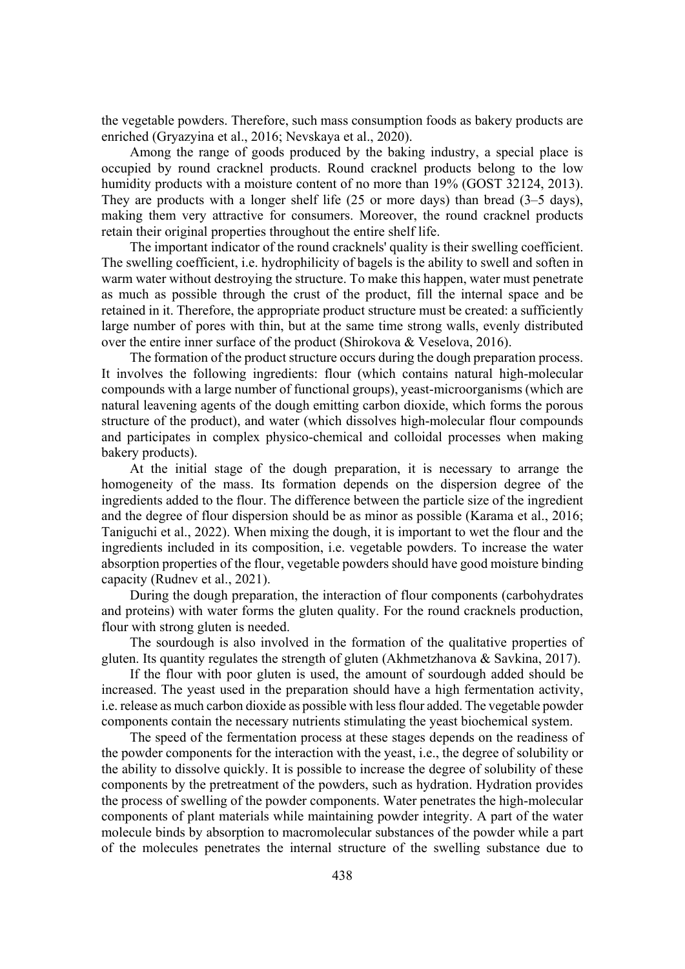the vegetable powders. Therefore, such mass consumption foods as bakery products are enriched (Gryazyina et al., 2016; Nevskaya et al., 2020).

Among the range of goods produced by the baking industry, a special place is occupied by round cracknel products. Round cracknel products belong to the low humidity products with a moisture content of no more than 19% (GOST 32124, 2013). They are products with a longer shelf life (25 or more days) than bread (3–5 days), making them very attractive for consumers. Moreover, the round cracknel products retain their original properties throughout the entire shelf life.

The important indicator of the round cracknels' quality is their swelling coefficient. The swelling coefficient, i.e. hydrophilicity of bagels is the ability to swell and soften in warm water without destroying the structure. To make this happen, water must penetrate as much as possible through the crust of the product, fill the internal space and be retained in it. Therefore, the appropriate product structure must be created: a sufficiently large number of pores with thin, but at the same time strong walls, evenly distributed over the entire inner surface of the product (Shirokova & Veselova, 2016).

The formation of the product structure occurs during the dough preparation process. It involves the following ingredients: flour (which contains natural high-molecular compounds with a large number of functional groups), yeast-microorganisms (which are natural leavening agents of the dough emitting carbon dioxide, which forms the porous structure of the product), and water (which dissolves high-molecular flour compounds and participates in complex physico-chemical and colloidal processes when making bakery products).

At the initial stage of the dough preparation, it is necessary to arrange the homogeneity of the mass. Its formation depends on the dispersion degree of the ingredients added to the flour. The difference between the particle size of the ingredient and the degree of flour dispersion should be as minor as possible (Karama et al., 2016; Taniguchi et al., 2022). When mixing the dough, it is important to wet the flour and the ingredients included in its composition, i.e. vegetable powders. To increase the water absorption properties of the flour, vegetable powders should have good moisture binding capacity (Rudnev et al., 2021).

During the dough preparation, the interaction of flour components (carbohydrates and proteins) with water forms the gluten quality. For the round cracknels production, flour with strong gluten is needed.

The sourdough is also involved in the formation of the qualitative properties of gluten. Its quantity regulates the strength of gluten (Akhmetzhanova & Savkina, 2017).

If the flour with poor gluten is used, the amount of sourdough added should be increased. The yeast used in the preparation should have a high fermentation activity, i.e. release as much carbon dioxide as possible with less flour added. The vegetable powder components contain the necessary nutrients stimulating the yeast biochemical system.

The speed of the fermentation process at these stages depends on the readiness of the powder components for the interaction with the yeast, i.e., the degree of solubility or the ability to dissolve quickly. It is possible to increase the degree of solubility of these components by the pretreatment of the powders, such as hydration. Hydration provides the process of swelling of the powder components. Water penetrates the high-molecular components of plant materials while maintaining powder integrity. A part of the water molecule binds by absorption to macromolecular substances of the powder while a part of the molecules penetrates the internal structure of the swelling substance due to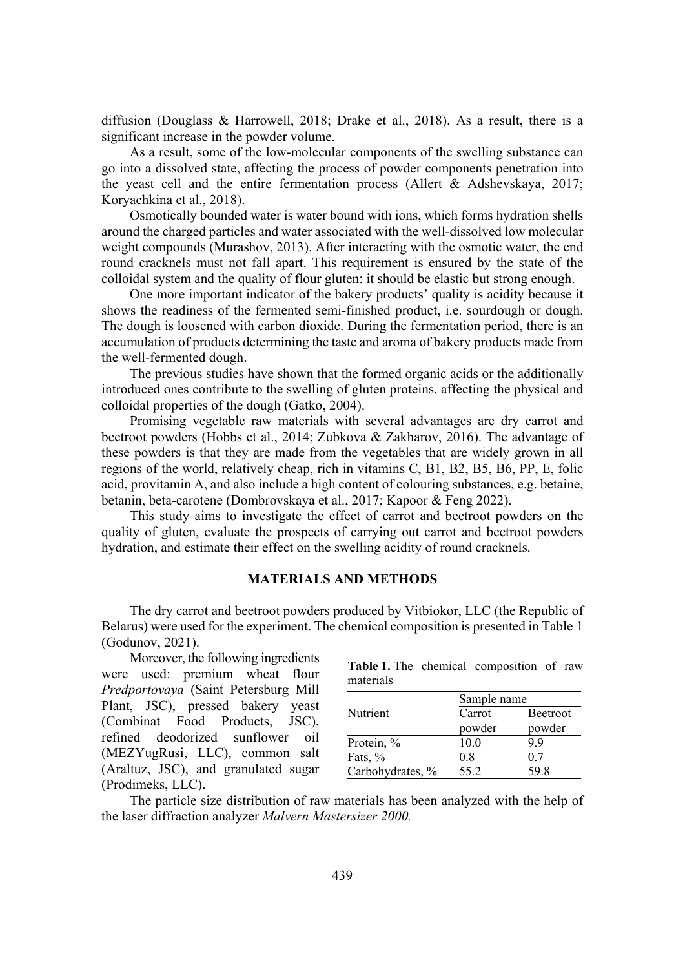diffusion (Douglass & Harrowell, 2018; Drake et al., 2018). As a result, there is a significant increase in the powder volume.

As a result, some of the low-molecular components of the swelling substance can go into a dissolved state, affecting the process of powder components penetration into the yeast cell and the entire fermentation process (Allert & Adshevskaya, 2017; Koryachkina et al., 2018).

Osmotically bounded water is water bound with ions, which forms hydration shells around the charged particles and water associated with the well-dissolved low molecular weight compounds (Murashov, 2013). After interacting with the osmotic water, the end round cracknels must not fall apart. This requirement is ensured by the state of the colloidal system and the quality of flour gluten: it should be elastic but strong enough.

One more important indicator of the bakery products' quality is acidity because it shows the readiness of the fermented semi-finished product, i.e. sourdough or dough. The dough is loosened with carbon dioxide. During the fermentation period, there is an accumulation of products determining the taste and aroma of bakery products made from the well-fermented dough.

The previous studies have shown that the formed organic acids or the additionally introduced ones contribute to the swelling of gluten proteins, affecting the physical and colloidal properties of the dough (Gatko, 2004).

Promising vegetable raw materials with several advantages are dry carrot and beetroot powders (Hobbs et al., 2014; Zubkova & Zakharov, 2016). The advantage of these powders is that they are made from the vegetables that are widely grown in all regions of the world, relatively cheap, rich in vitamins C, B1, B2, B5, B6, PP, E, folic acid, provitamin A, and also include a high content of colouring substances, e.g. betaine, betanin, beta-carotene (Dombrovskaya et al., 2017; Kapoor & Feng 2022).

This study aims to investigate the effect of carrot and beetroot powders on the quality of gluten, evaluate the prospects of carrying out carrot and beetroot powders hydration, and estimate their effect on the swelling acidity of round cracknels.

## **MATERIALS AND METHODS**

The dry carrot and beetroot powders produced by Vitbiokor, LLC (the Republic of Belarus) were used for the experiment. The chemical composition is presented in Table 1 (Godunov, 2021).

Moreover, the following ingredients were used: premium wheat flour *Predportovava* (Saint Petersburg Mill Plant, JSC), pressed bakery yeast (Combinat Food Products, JSC), refined deodorized sunflower oil (MEZYugRusi, LLC), common salt (Araltuz, JSC), and granulated sugar (Prodimeks, LLC).

**Table 1.** The chemical composition of raw materials

|                  | Sample name |          |  |  |  |  |
|------------------|-------------|----------|--|--|--|--|
| Nutrient         | Carrot      | Beetroot |  |  |  |  |
|                  | powder      | powder   |  |  |  |  |
| Protein, %       | 10.0        | 9.9      |  |  |  |  |
| Fats, %          | 0.8         | 0.7      |  |  |  |  |
| Carbohydrates, % | 55.2        | 59.8     |  |  |  |  |

The particle size distribution of raw materials has been analyzed with the help of the laser diffraction analyzer *Malvern Mastersizer 2000*.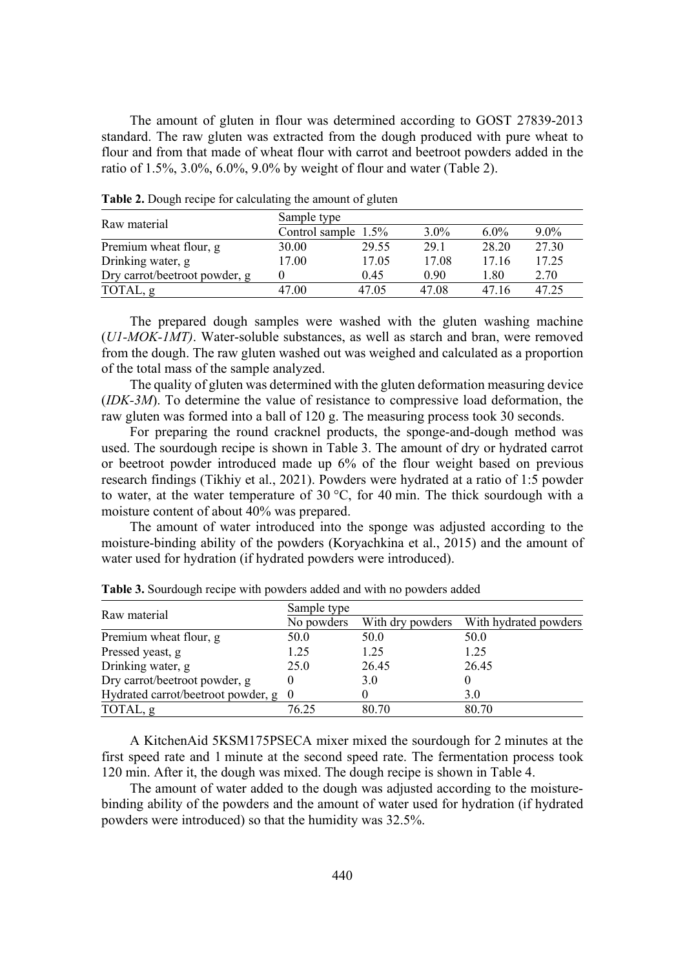The amount of gluten in flour was determined according to GOST 27839-2013 standard. The raw gluten was extracted from the dough produced with pure wheat to flour and from that made of wheat flour with carrot and beetroot powders added in the ratio of 1.5%, 3.0%, 6.0%, 9.0% by weight of flour and water (Table 2).

| Raw material                  | Sample type |                        |         |         |         |  |  |  |
|-------------------------------|-------------|------------------------|---------|---------|---------|--|--|--|
|                               |             | Control sample $1.5\%$ | $3.0\%$ | $6.0\%$ | $9.0\%$ |  |  |  |
| Premium wheat flour, g        | 30.00       | 29.55                  | 29.1    | 28.20   | 27.30   |  |  |  |
| Drinking water, g             | 17.00       | 17.05                  | 17.08   | 17.16   | 17.25   |  |  |  |
| Dry carrot/beetroot powder, g |             | 0.45                   | 0.90    | 1.80    | 2.70    |  |  |  |
| TOTAL, g                      | 47.00       | 47.05                  | 47.08   | 47.16   | 47.25   |  |  |  |

**Table 2.** Dough recipe for calculating the amount of gluten

The prepared dough samples were washed with the gluten washing machine (*U1-MOK-1MT*). Water-soluble substances, as well as starch and bran, were removed from the dough. The raw gluten washed out was weighed and calculated as a proportion of the total mass of the sample analyzed.

The quality of gluten was determined with the gluten deformation measuring device (*IDK-3M*). To determine the value of resistance to compressive load deformation, the raw gluten was formed into a ball of 120 g. The measuring process took 30 seconds.

For preparing the round cracknel products, the sponge-and-dough method was used. The sourdough recipe is shown in Table 3. The amount of dry or hydrated carrot or beetroot powder introduced made up 6% of the flour weight based on previous research findings (Tikhiy et al., 2021). Powders were hydrated at a ratio of 1:5 powder to water, at the water temperature of 30 °C, for 40 min. The thick sourdough with a moisture content of about 40% was prepared.

The amount of water introduced into the sponge was adjusted according to the moisture-binding ability of the powders (Koryachkina et al., 2015) and the amount of water used for hydration (if hydrated powders were introduced).

|                                      | Sample type |                  |                       |  |  |  |  |
|--------------------------------------|-------------|------------------|-----------------------|--|--|--|--|
| Raw material                         | No powders  | With dry powders | With hydrated powders |  |  |  |  |
| Premium wheat flour, g               | 50.0        | 50.0             | 50.0                  |  |  |  |  |
| Pressed yeast, g                     | 1.25        | 1.25             | 1.25                  |  |  |  |  |
| Drinking water, g                    | 25.0        | 26.45            | 26.45                 |  |  |  |  |
| Dry carrot/beetroot powder, g        |             | 3.0              |                       |  |  |  |  |
| Hydrated carrot/beetroot powder, g 0 |             |                  | 3.0                   |  |  |  |  |
| TOTAL, g                             | 76.25       | 80.70            | 80.70                 |  |  |  |  |

**Table 3.** Sourdough recipe with powders added and with no powders added

A KitchenAid 5KSM175PSECA mixer mixed the sourdough for 2 minutes at the first speed rate and 1 minute at the second speed rate. The fermentation process took 120 min. After it, the dough was mixed. The dough recipe is shown in Table 4.

The amount of water added to the dough was adjusted according to the moisturebinding ability of the powders and the amount of water used for hydration (if hydrated powders were introduced) so that the humidity was 32.5%.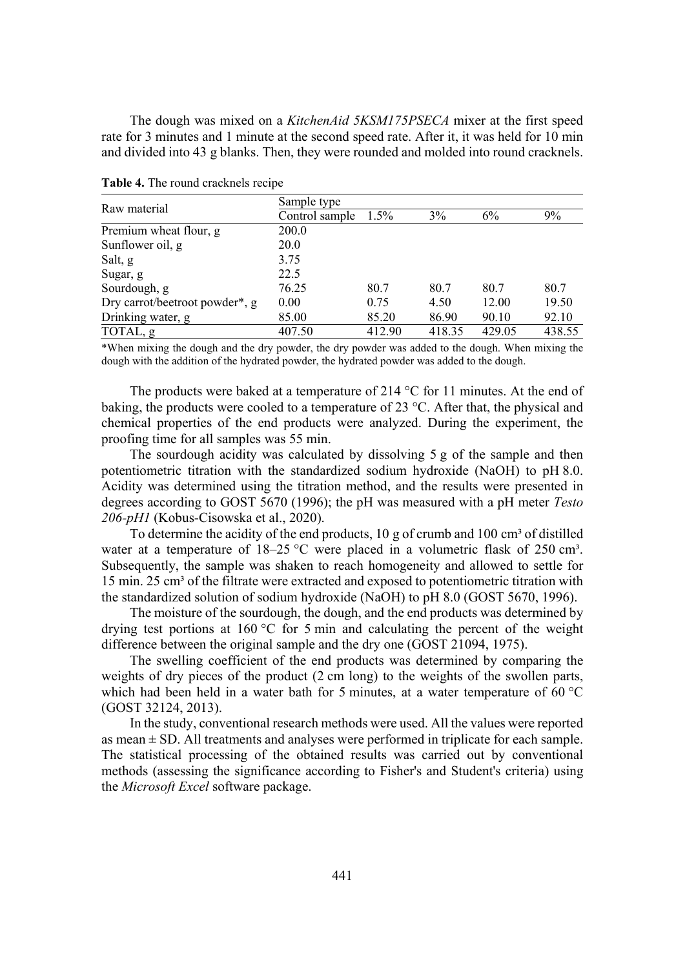The dough was mixed on a *KitchenAid 5KSM175PSECA* mixer at the first speed rate for 3 minutes and 1 minute at the second speed rate. After it, it was held for 10 min and divided into 43 g blanks. Then, they were rounded and molded into round cracknels.

|                                | Sample type    |         |        |        |        |  |  |
|--------------------------------|----------------|---------|--------|--------|--------|--|--|
| Raw material                   | Control sample | $1.5\%$ | 3%     | 6%     | 9%     |  |  |
| Premium wheat flour, g         | 200.0          |         |        |        |        |  |  |
| Sunflower oil, g               | 20.0           |         |        |        |        |  |  |
| Salt, g                        | 3.75           |         |        |        |        |  |  |
| Sugar, g                       | 22.5           |         |        |        |        |  |  |
| Sourdough, g                   | 76.25          | 80.7    | 80.7   | 80.7   | 80.7   |  |  |
| Dry carrot/beetroot powder*, g | 0.00           | 0.75    | 4.50   | 12.00  | 19.50  |  |  |
| Drinking water, g              | 85.00          | 85.20   | 86.90  | 90.10  | 92.10  |  |  |
| TOTAL, g                       | 407.50         | 412.90  | 418.35 | 429.05 | 438.55 |  |  |

**Table 4.** The round cracknels recipe

\*When mixing the dough and the dry powder, the dry powder was added to the dough. When mixing the dough with the addition of the hydrated powder, the hydrated powder was added to the dough.

The products were baked at a temperature of 214 °C for 11 minutes. At the end of baking, the products were cooled to a temperature of 23 °C. After that, the physical and chemical properties of the end products were analyzed. During the experiment, the proofing time for all samples was 55 min.

The sourdough acidity was calculated by dissolving 5 g of the sample and then potentiometric titration with the standardized sodium hydroxide (NaOH) to pH 8.0. Acidity was determined using the titration method, and the results were presented in degrees according to GOST 5670 (1996); the pH was measured with a pH meter *Testo 206-pH1* (Kobus-Cisowska et al., 2020).

To determine the acidity of the end products,  $10 \text{ g}$  of crumb and  $100 \text{ cm}^3$  of distilled water at a temperature of  $18-25$  °C were placed in a volumetric flask of  $250 \text{ cm}^3$ . Subsequently, the sample was shaken to reach homogeneity and allowed to settle for 15 min. 25 cm<sup>3</sup> of the filtrate were extracted and exposed to potentiometric titration with the standardized solution of sodium hydroxide (NaOH) to pH 8.0 (GOST 5670, 1996).

The moisture of the sourdough, the dough, and the end products was determined by drying test portions at 160 °C for 5 min and calculating the percent of the weight difference between the original sample and the dry one (GOST 21094, 1975).

The swelling coefficient of the end products was determined by comparing the weights of dry pieces of the product (2 cm long) to the weights of the swollen parts, which had been held in a water bath for 5 minutes, at a water temperature of 60 °C (GOST 32124, 2013).

In the study, conventional research methods were used. All the values were reported as mean  $\pm$  SD. All treatments and analyses were performed in triplicate for each sample. The statistical processing of the obtained results was carried out by conventional methods (assessing the significance according to Fisher's and Student's criteria) using the *Microsoft Excel* software package.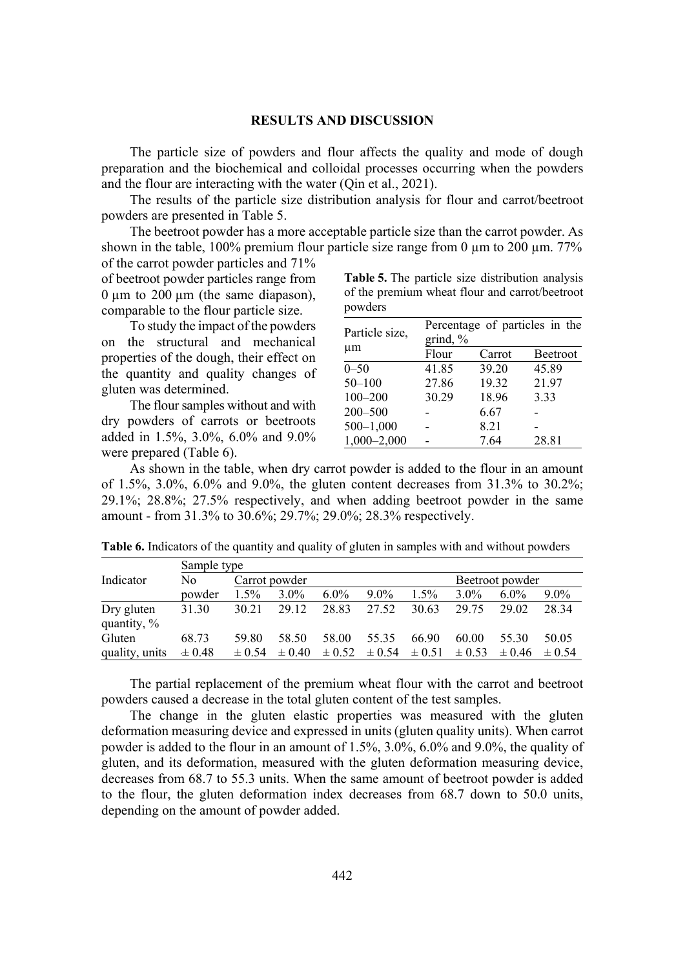#### **RESULTS AND DISCUSSION**

The particle size of powders and flour affects the quality and mode of dough preparation and the biochemical and colloidal processes occurring when the powders and the flour are interacting with the water (Qin et al., 2021).

The results of the particle size distribution analysis for flour and carrot/beetroot powders are presented in Table 5.

The beetroot powder has a more acceptable particle size than the carrot powder. As shown in the table, 100% premium flour particle size range from 0  $\mu$ m to 200  $\mu$ m. 77%

of the carrot powder particles and 71% of beetroot powder particles range from  $0 \mu m$  to  $200 \mu m$  (the same diapason), comparable to the flour particle size.

To study the impact of the powders on the structural and mechanical properties of the dough, their effect on the quantity and quality changes of gluten was determined.

The flour samples without and with dry powders of carrots or beetroots added in 1.5%, 3.0%, 6.0% and 9.0% were prepared (Table 6).

**Table 5.** The particle size distribution analysis of the premium wheat flour and carrot/beetroot powders

| Particle size,  | Percentage of particles in the |        |                 |  |  |  |  |
|-----------------|--------------------------------|--------|-----------------|--|--|--|--|
| $\mu$ m         | grind, $%$                     |        |                 |  |  |  |  |
|                 | Flour                          | Carrot | <b>Beetroot</b> |  |  |  |  |
| $0 - 50$        | 41.85                          | 39.20  | 45.89           |  |  |  |  |
| $50 - 100$      | 27.86                          | 19.32  | 21.97           |  |  |  |  |
| $100 - 200$     | 30.29                          | 18.96  | 3.33            |  |  |  |  |
| 200-500         |                                | 6.67   |                 |  |  |  |  |
| $500 - 1,000$   |                                | 8.21   |                 |  |  |  |  |
| $1,000 - 2,000$ |                                | 7.64   | 28.81           |  |  |  |  |

As shown in the table, when dry carrot powder is added to the flour in an amount of 1.5%, 3.0%, 6.0% and 9.0%, the gluten content decreases from 31.3% to 30.2%; 29.1%; 28.8%; 27.5% respectively, and when adding beetroot powder in the same amount - from 31.3% to 30.6%; 29.7%; 29.0%; 28.3% respectively.

|                           | Sample type |               |            |            |         |         |         |                                                |         |
|---------------------------|-------------|---------------|------------|------------|---------|---------|---------|------------------------------------------------|---------|
| Indicator                 | No.         | Carrot powder |            |            |         |         |         | Beetroot powder                                |         |
|                           | powder      | $1.5\%$       | $3.0\%$    | $6.0\%$    | $9.0\%$ | $1.5\%$ | $3.0\%$ | $6.0\%$                                        | $9.0\%$ |
| Dry gluten<br>quantity, % | 31.30       | 30.21         | 29.12      | 28.83      | 27.52   | 30.63   | 29.75   | 29.02                                          | 28.34   |
| Gluten                    | 68.73       | 59.80         | 58.50      | 58.00      | 55.35   | 66.90   | 60.00   | 55.30                                          | 50.05   |
| quality, units            | $\pm 0.48$  | $\pm 0.54$    | $\pm 0.40$ | $\pm 0.52$ |         |         |         | $\pm 0.54 \pm 0.51 \pm 0.53 \pm 0.46 \pm 0.54$ |         |

**Table 6.** Indicators of the quantity and quality of gluten in samples with and without powders

The partial replacement of the premium wheat flour with the carrot and beetroot powders caused a decrease in the total gluten content of the test samples.

The change in the gluten elastic properties was measured with the gluten deformation measuring device and expressed in units (gluten quality units). When carrot powder is added to the flour in an amount of 1.5%, 3.0%, 6.0% and 9.0%, the quality of gluten, and its deformation, measured with the gluten deformation measuring device, decreases from 68.7 to 55.3 units. When the same amount of beetroot powder is added to the flour, the gluten deformation index decreases from 68.7 down to 50.0 units, depending on the amount of powder added.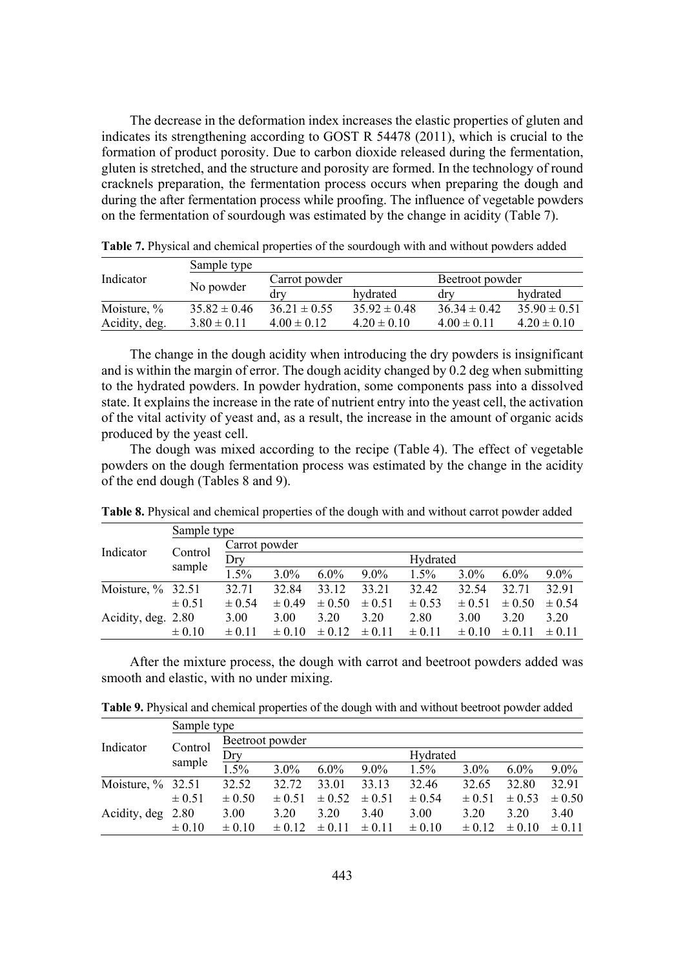The decrease in the deformation index increases the elastic properties of gluten and indicates its strengthening according to GOST R 54478 (2011), which is crucial to the formation of product porosity. Due to carbon dioxide released during the fermentation, gluten is stretched, and the structure and porosity are formed. In the technology of round cracknels preparation, the fermentation process occurs when preparing the dough and during the after fermentation process while proofing. The influence of vegetable powders on the fermentation of sourdough was estimated by the change in acidity (Table 7).

|               | Sample type      |                  |                  |                  |                  |  |
|---------------|------------------|------------------|------------------|------------------|------------------|--|
| Indicator     |                  | Carrot powder    |                  | Beetroot powder  |                  |  |
|               | No powder        | drv              | hydrated         | drv              | hydrated         |  |
| Moisture, %   | $35.82 \pm 0.46$ | $36.21 \pm 0.55$ | $35.92 \pm 0.48$ | $36.34 \pm 0.42$ | $35.90 \pm 0.51$ |  |
| Acidity, deg. | $3.80 \pm 0.11$  | $4.00 \pm 0.12$  | $4.20 \pm 0.10$  | $4.00 \pm 0.11$  | $4.20 \pm 0.10$  |  |

**Table 7.** Physical and chemical properties of the sourdough with and without powders added

The change in the dough acidity when introducing the dry powders is insignificant and is within the margin of error. The dough acidity changed by 0.2 deg when submitting to the hydrated powders. In powder hydration, some components pass into a dissolved state. It explains the increase in the rate of nutrient entry into the yeast cell, the activation of the vital activity of yeast and, as a result, the increase in the amount of organic acids produced by the yeast cell.

The dough was mixed according to the recipe (Table 4). The effect of vegetable powders on the dough fermentation process was estimated by the change in the acidity of the end dough (Tables 8 and 9).

|                      | Sample type |               |            |            |            |            |            |            |            |  |
|----------------------|-------------|---------------|------------|------------|------------|------------|------------|------------|------------|--|
|                      |             | Carrot powder |            |            |            |            |            |            |            |  |
| Indicator            | Control     | Dry           |            |            |            |            | Hydrated   |            |            |  |
|                      | sample      | 1.5%          | $3.0\%$    | $6.0\%$    | $9.0\%$    | 1.5%       | $3.0\%$    | $6.0\%$    | $9.0\%$    |  |
| Moisture, $\%$ 32.51 |             | 32.71         | 32.84      | 33.12      | 33.21      | 32.42      | 32.54      | 32.71      | 32.91      |  |
|                      | $\pm 0.51$  | $\pm 0.54$    | $\pm 0.49$ | $\pm 0.50$ | $\pm 0.51$ | $\pm 0.53$ | $\pm 0.51$ | $\pm 0.50$ | $\pm 0.54$ |  |
| Acidity, deg. 2.80   |             | 3.00          | 3.00       | 3.20       | 3.20       | 2.80       | 3.00       | 3.20       | 3.20       |  |
|                      | $\pm 0.10$  | $\pm 0.11$    | $\pm 0.10$ | $\pm 0.12$ | $\pm 0.11$ | $\pm 0.11$ | $\pm 0.10$ | $\pm 0.11$ | $\pm 0.11$ |  |

**Table 8.** Physical and chemical properties of the dough with and without carrot powder added

After the mixture process, the dough with carrot and beetroot powders added was smooth and elastic, with no under mixing.

**Table 9.** Physical and chemical properties of the dough with and without beetroot powder added

|                      | Sample type |                 |            |            |            |            |            |            |            |
|----------------------|-------------|-----------------|------------|------------|------------|------------|------------|------------|------------|
| Indicator            |             | Beetroot powder |            |            |            |            |            |            |            |
|                      | Control     | Dry             |            |            |            | Hydrated   |            |            |            |
|                      | sample      | 1.5%            | $3.0\%$    | $6.0\%$    | $9.0\%$    | $1.5\%$    | $3.0\%$    | $6.0\%$    | $9.0\%$    |
| Moisture, $\%$ 32.51 |             | 32.52           | 32.72      | 33.01      | 33.13      | 32.46      | 32.65      | 32.80      | 32.91      |
|                      | $\pm 0.51$  | $\pm 0.50$      | $\pm 0.51$ | $\pm 0.52$ | $\pm 0.51$ | $\pm 0.54$ | $\pm 0.51$ | $\pm 0.53$ | $\pm 0.50$ |
| Acidity, deg 2.80    |             | 3.00            | 3.20       | 3.20       | 3.40       | 3.00       | 3.20       | 3.20       | 3.40       |
|                      | $\pm 0.10$  | $\pm 0.10$      | $\pm 0.12$ | $\pm 0.11$ | $\pm 0.11$ | $\pm 0.10$ | $\pm$ 0.12 | $\pm 0.10$ | $\pm 0.11$ |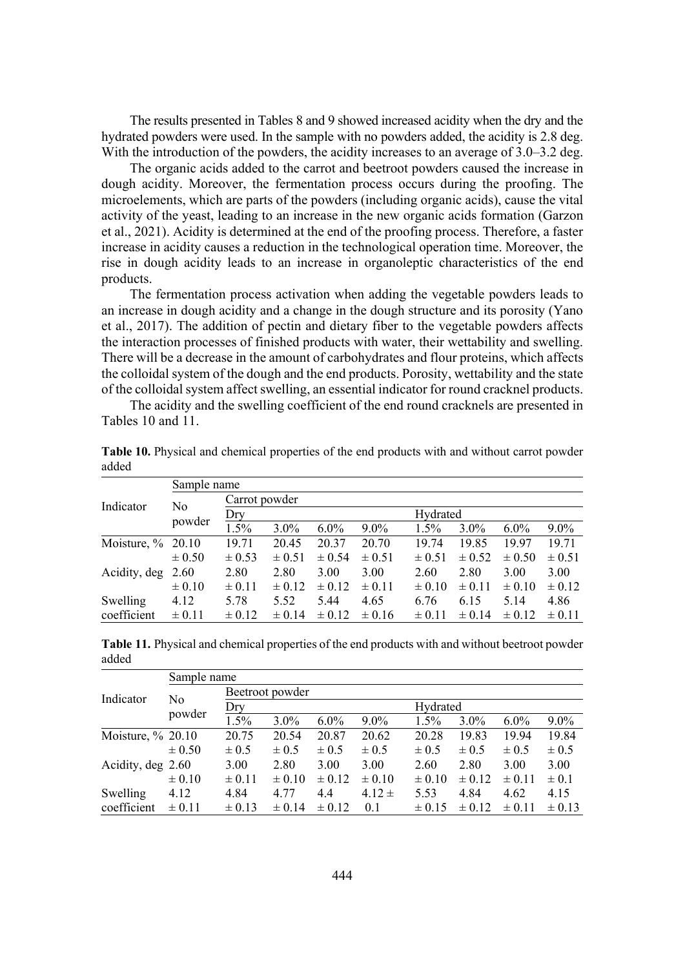The results presented in Tables 8 and 9 showed increased acidity when the dry and the hydrated powders were used. In the sample with no powders added, the acidity is 2.8 deg. With the introduction of the powders, the acidity increases to an average of 3.0–3.2 deg.

The organic acids added to the carrot and beetroot powders caused the increase in dough acidity. Moreover, the fermentation process occurs during the proofing. The microelements, which are parts of the powders (including organic acids), cause the vital activity of the yeast, leading to an increase in the new organic acids formation (Garzon et al., 2021). Acidity is determined at the end of the proofing process. Therefore, a faster increase in acidity causes a reduction in the technological operation time. Moreover, the rise in dough acidity leads to an increase in organoleptic characteristics of the end products.

The fermentation process activation when adding the vegetable powders leads to an increase in dough acidity and a change in the dough structure and its porosity (Yano et al., 2017). The addition of pectin and dietary fiber to the vegetable powders affects the interaction processes of finished products with water, their wettability and swelling. There will be a decrease in the amount of carbohydrates and flour proteins, which affects the colloidal system of the dough and the end products. Porosity, wettability and the state of the colloidal system affect swelling, an essential indicator for round cracknel products.

The acidity and the swelling coefficient of the end round cracknels are presented in Tables 10 and 11.

|                      | Sample name |               |            |            |            |            |            |            |            |
|----------------------|-------------|---------------|------------|------------|------------|------------|------------|------------|------------|
|                      |             | Carrot powder |            |            |            |            |            |            |            |
| Indicator            | No          | Dry           | Hydrated   |            |            |            |            |            |            |
|                      | powder      | 1.5%          | $3.0\%$    | $6.0\%$    | $9.0\%$    | 1.5%       | $3.0\%$    | $6.0\%$    | $9.0\%$    |
| Moisture, $\%$ 20.10 |             | 19.71         | 20.45      | 20.37      | 20.70      | 19.74      | 19.85      | 19.97      | 19.71      |
|                      | $\pm 0.50$  | $\pm 0.53$    | $\pm 0.51$ | $\pm 0.54$ | $\pm 0.51$ | $\pm 0.51$ | $\pm 0.52$ | $\pm 0.50$ | $\pm 0.51$ |
| Acidity, deg         | 2.60        | 2.80          | 2.80       | 3.00       | 3.00       | 2.60       | 2.80       | 3.00       | 3.00       |
|                      | $\pm 0.10$  | $\pm 0.11$    | $\pm 0.12$ | $\pm 0.12$ | $\pm 0.11$ | $\pm 0.10$ | $\pm 0.11$ | $\pm 0.10$ | $\pm 0.12$ |
| Swelling             | 4.12        | 5.78          | 5.52       | 5.44       | 4.65       | 6.76       | 6.15       | 5.14       | 4.86       |
| coefficient          | $\pm 0.11$  | $\pm 0.12$    | $\pm 0.14$ | $\pm$ 0.12 | $\pm 0.16$ | $\pm 0.11$ | $\pm 0.14$ | $\pm$ 0.12 | $\pm 0.11$ |

**Table 10.** Physical and chemical properties of the end products with and without carrot powder added

**Ɍable 11.** Physical and chemical properties of the end products with and without beetroot powder added

|                   | Sample name |                 |            |            |            |            |            |            |            |
|-------------------|-------------|-----------------|------------|------------|------------|------------|------------|------------|------------|
| Indicator         |             | Beetroot powder |            |            |            |            |            |            |            |
|                   | No          | Dry             |            |            |            | Hydrated   |            |            |            |
|                   | powder      | 1.5%            | $3.0\%$    | $6.0\%$    | $9.0\%$    | 1.5%       | $3.0\%$    | $6.0\%$    | $9.0\%$    |
| Moisture, % 20.10 |             | 20.75           | 20.54      | 20.87      | 20.62      | 20.28      | 19.83      | 19.94      | 19.84      |
|                   | $\pm 0.50$  | $\pm 0.5$       | $\pm 0.5$  | $\pm 0.5$  | $\pm 0.5$  | $\pm 0.5$  | $\pm 0.5$  | $\pm 0.5$  | $\pm 0.5$  |
| Acidity, deg 2.60 |             | 3.00            | 2.80       | 3.00       | 3.00       | 2.60       | 2.80       | 3.00       | 3.00       |
|                   | $\pm 0.10$  | $\pm 0.11$      | $\pm 0.10$ | $\pm 0.12$ | $\pm 0.10$ | $\pm 0.10$ | $\pm$ 0.12 | $\pm 0.11$ | $\pm 0.1$  |
| Swelling          | 4.12        | 4.84            | 4.77       | 4.4        | $4.12 \pm$ | 5.53       | 4.84       | 4.62       | 4.15       |
| coefficient       | $\pm 0.11$  | $\pm 0.13$      | $\pm 0.14$ | $\pm$ 0.12 | 0.1        | $\pm$ 0.15 | $\pm$ 0.12 | $\pm 0.11$ | $\pm 0.13$ |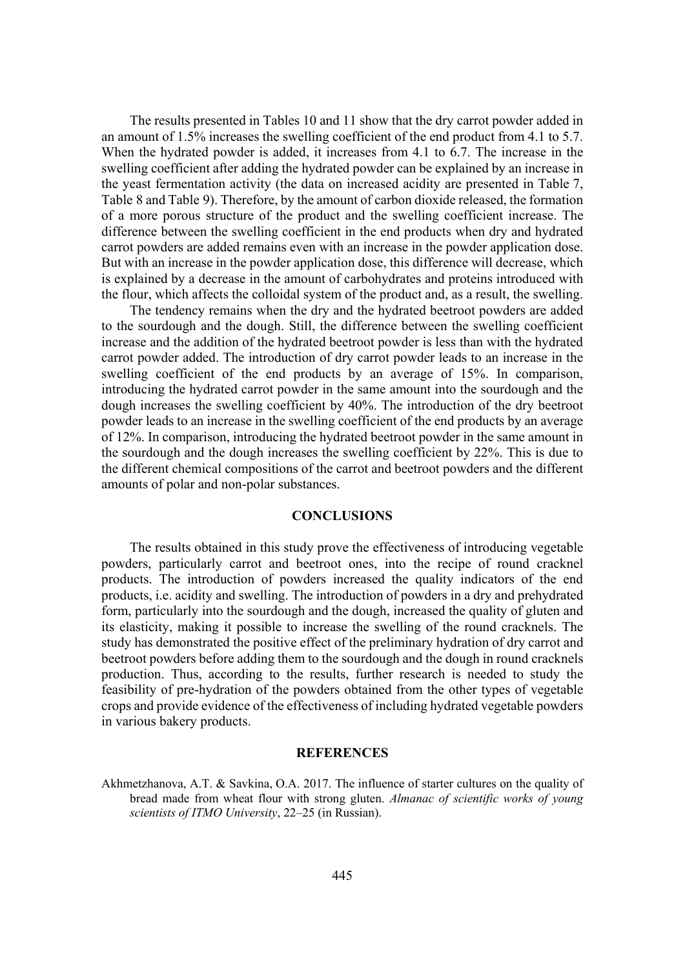The results presented in Tables 10 and 11 show that the dry carrot powder added in an amount of 1.5% increases the swelling coefficient of the end product from 4.1 to 5.7. When the hydrated powder is added, it increases from 4.1 to 6.7. The increase in the swelling coefficient after adding the hydrated powder can be explained by an increase in the yeast fermentation activity (the data on increased acidity are presented in Table 7, Table 8 and Table 9). Therefore, by the amount of carbon dioxide released, the formation of a more porous structure of the product and the swelling coefficient increase. The difference between the swelling coefficient in the end products when dry and hydrated carrot powders are added remains even with an increase in the powder application dose. But with an increase in the powder application dose, this difference will decrease, which is explained by a decrease in the amount of carbohydrates and proteins introduced with the flour, which affects the colloidal system of the product and, as a result, the swelling.

The tendency remains when the dry and the hydrated beetroot powders are added to the sourdough and the dough. Still, the difference between the swelling coefficient increase and the addition of the hydrated beetroot powder is less than with the hydrated carrot powder added. The introduction of dry carrot powder leads to an increase in the swelling coefficient of the end products by an average of 15%. In comparison, introducing the hydrated carrot powder in the same amount into the sourdough and the dough increases the swelling coefficient by 40%. The introduction of the dry beetroot powder leads to an increase in the swelling coefficient of the end products by an average of 12%. In comparison, introducing the hydrated beetroot powder in the same amount in the sourdough and the dough increases the swelling coefficient by 22%. This is due to the different chemical compositions of the carrot and beetroot powders and the different amounts of polar and non-polar substances.

## **CONCLUSIONS**

The results obtained in this study prove the effectiveness of introducing vegetable powders, particularly carrot and beetroot ones, into the recipe of round cracknel products. The introduction of powders increased the quality indicators of the end products, i.e. acidity and swelling. The introduction of powders in a dry and prehydrated form, particularly into the sourdough and the dough, increased the quality of gluten and its elasticity, making it possible to increase the swelling of the round cracknels. The study has demonstrated the positive effect of the preliminary hydration of dry carrot and beetroot powders before adding them to the sourdough and the dough in round cracknels production. Thus, according to the results, further research is needed to study the feasibility of pre-hydration of the powders obtained from the other types of vegetable crops and provide evidence of the effectiveness of including hydrated vegetable powders in various bakery products.

# **REFERENCES**

Akhmetzhanova, A.T. & Savkina, O.A. 2017. The influence of starter cultures on the quality of bread made from wheat flour with strong gluten. *Almanac of scientific works of young scientists of ITMO University, 22–25 (in Russian).*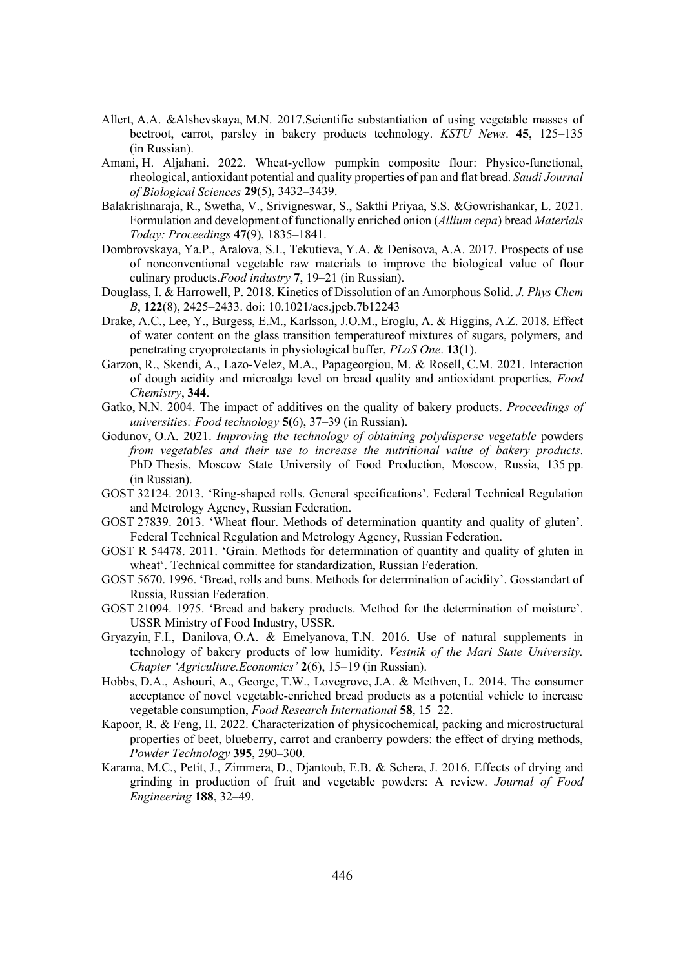- Allert, A.A. &Alshevskaya, M.N. 2017.Scientific substantiation of using vegetable masses of beetroot, carrot, parsley in bakery products technology. *KSTU News*. 45, 125–135 (in Russian).
- Amani, H. Aljahani. 2022. Wheat-yellow pumpkin composite flour: Physico-functional, rheological, antioxidant potential and quality properties of pan and flat bread. *Saudi Journal RI%LRORJLFDO6FLHQFHV* **29**(5), 3432–3439.
- Balakrishnaraja, R., Swetha, V., Srivigneswar, S., Sakthi Priyaa, S.S. &Gowrishankar, L. 2021. Formulation and development of functionally enriched onion (*Allium cepa*) bread *Materials Today: Proceedings* 47(9), 1835–1841.
- Dombrovskaya, Ya.P., Aralova, S.I., Tekutieva, Y.A. & Denisova, A.A. 2017. Prospects of use of nonconventional vegetable raw materials to improve the biological value of flour culinary products.*Food industry* 7, 19–21 (in Russian).
- Douglass, I. & Harrowell, P. 2018. Kinetics of Dissolution of an Amorphous Solid. *J. Phys Chem B*, **122**(8), 2425–2433. doi: 10.1021/acs.jpcb.7b12243
- Drake, A.C., Lee, Y., Burgess, E.M., Karlsson, J.O.M., Eroglu, A. & Higgins, A.Z. 2018. Effect of water content on the glass transition temperatureof mixtures of sugars, polymers, and penetrating cryoprotectants in physiological buffer, *PLoS One*. **13**(1).
- Garzon, R., Skendi, A., Lazo-Velez, M.A., Papageorgiou, M. & Rosell, C.M. 2021. Interaction of dough acidity and microalga level on bread quality and antioxidant properties, *Food Chemistry*, 344.
- Gatko, N.N. 2004. The impact of additives on the quality of bakery products. *Proceedings of Xalyensities: Food technology* 5(6), 37–39 (in Russian).
- Godunov, O.A. 2021. *Improving the technology of obtaining polydisperse vegetable* powders *from vegetables and their use to increase the nutritional value of bakery products.* PhD Thesis, Moscow State University of Food Production, Moscow, Russia, 135 pp. (in Russian).
- GOST 32124. 2013. 'Ring-shaped rolls. General specifications'. Federal Technical Regulation and Metrology Agency, Russian Federation.
- GOST 27839. 2013. 'Wheat flour. Methods of determination quantity and quality of gluten'. Federal Technical Regulation and Metrology Agency, Russian Federation.
- GOST R 54478. 2011. 'Grain. Methods for determination of quantity and quality of gluten in wheat'. Technical committee for standardization, Russian Federation.
- GOST 5670. 1996. 'Bread, rolls and buns. Methods for determination of acidity'. Gosstandart of Russia, Russian Federation.
- GOST 21094. 1975. 'Bread and bakery products. Method for the determination of moisture'. USSR Ministry of Food Industry, USSR.
- Gryazyin, F.I., Danilova, O.A. & Emelyanova, T.N. 2016. Use of natural supplements in technology of bakery products of low humidity. *Vestnik of the Mari State University*. *Chapter 'Agriculture.Economics'* 2(6), 15–19 (in Russian).
- Hobbs, D.A., Ashouri, A., George, T.W., Lovegrove, J.A. & Methven, L. 2014. The consumer acceptance of novel vegetable-enriched bread products as a potential vehicle to increase vegetable consumption, *Food Research International* 58, 15–22.
- Kapoor, R. & Feng, H. 2022. Characterization of physicochemical, packing and microstructural properties of beet, blueberry, carrot and cranberry powders: the effect of drying methods, *Powder Technology* 395, 290–300.
- Karama, M.C., Petit, J., Zimmera, D., Djantoub, E.B. & Schera, J. 2016. Effects of drying and grinding in production of fruit and vegetable powders: A review. *Journal of Food (QJLQHHULQJ***188**, 32–49.